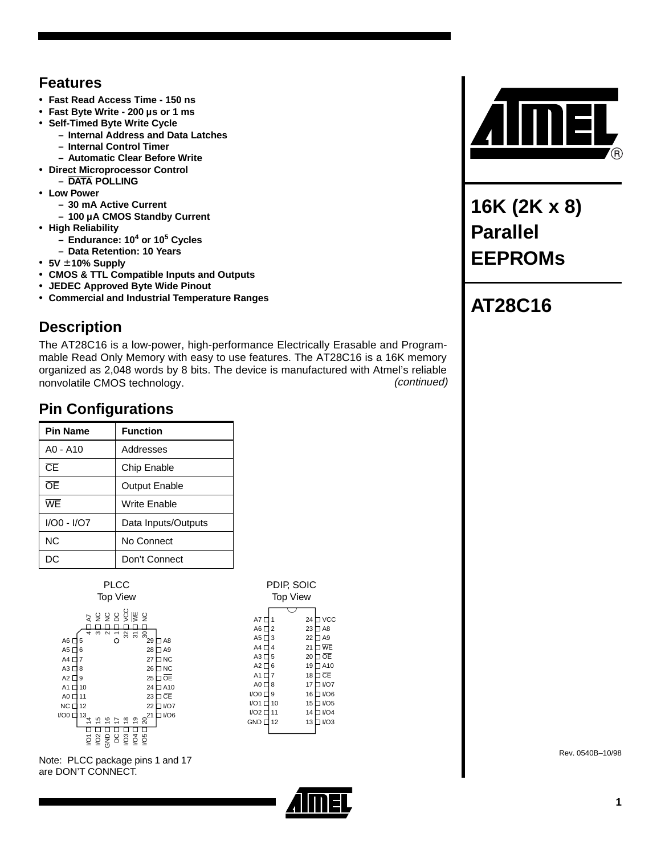## **Features**

- **Fast Read Access Time 150 ns**
- **Fast Byte Write 200 µs or 1 ms**
- **Self-Timed Byte Write Cycle**
	- **Internal Address and Data Latches**
		- **Internal Control Timer**
- **Automatic Clear Before Write**
- **Direct Microprocessor Control**
	- **DATA POLLING**
- **Low Power**
	- **30 mA Active Current**
	- **100 µA CMOS Standby Current**
- **High Reliability**
	- **Endurance: 10<sup>4</sup> or 10<sup>5</sup> Cycles**
	- **Data Retention: 10 Years**
- **5V** ± **10% Supply**
- **CMOS & TTL Compatible Inputs and Outputs**
- **JEDEC Approved Byte Wide Pinout**
- **Commercial and Industrial Temperature Ranges**

## **Description**

The AT28C16 is a low-power, high-performance Electrically Erasable and Programmable Read Only Memory with easy to use features. The AT28C16 is a 16K memory organized as 2,048 words by 8 bits. The device is manufactured with Atmel's reliable nonvolatile CMOS technology. (continued)

## **Pin Configurations**

| <b>Pin Name</b> | <b>Function</b>      |
|-----------------|----------------------|
| $AO - A10$      | Addresses            |
| CF              | Chip Enable          |
| <b>OE</b>       | <b>Output Enable</b> |
| WF              | Write Enable         |
| $I/O0 - I/O7$   | Data Inputs/Outputs  |
| NC.             | No Connect           |
|                 | Don't Connect        |

|                 | PLCC<br><b>Top View</b> |                             |        |                |          |   |                                       |                |
|-----------------|-------------------------|-----------------------------|--------|----------------|----------|---|---------------------------------------|----------------|
|                 | 4                       | ៵ខខខ្លួឌខ<br>≿ខខខ្លួឌខ<br>S | $\sim$ |                |          |   |                                       |                |
| A6 (            | 5                       |                             |        | ⌒              |          |   | <del>µ__</del><br>೫ ಸ ೫ <sub>29</sub> | A <sub>8</sub> |
| A5 $\square$    | 6                       |                             |        |                |          |   | 28                                    | A <sub>9</sub> |
| A4 <sup>[</sup> | 7                       |                             |        |                |          |   | 27                                    | <b>NC</b>      |
| A3              | 8                       |                             |        |                |          |   | 26                                    | ] NC           |
| $A2\Box$        | 9                       |                             |        |                |          |   | 25                                    | ŌE             |
| A1 [            | 10                      |                             |        |                |          |   | 24                                    | A10            |
| A0 <sup>[</sup> | 11                      |                             |        |                |          |   | 23                                    | СĒ             |
| NC [            | 12                      |                             |        |                |          |   | 22                                    | I/O7           |
| <b>I/O0 [</b>   | 13                      |                             | ဖ      |                | $\infty$ | თ | $a^{21}$                              | I/O6           |
|                 | ğ                       | $\overline{5}$              | GND.   | $\overline{5}$ |          | ð | $\overline{6}$                        |                |

Note: PLCC package pins 1 and 17 are DON'T CONNECT.

| PDIP, SOIC              |                |    |                 |  |  |  |
|-------------------------|----------------|----|-----------------|--|--|--|
| <b>Top View</b>         |                |    |                 |  |  |  |
|                         |                |    |                 |  |  |  |
| A7 <sup>r</sup>         |                | 24 | <b>VCC</b>      |  |  |  |
| AGL                     | $\overline{2}$ | 23 | A8              |  |  |  |
| A5 <sub>2</sub>         | 3              | 22 | A <sub>9</sub>  |  |  |  |
| AA                      | 4              | 21 | WE              |  |  |  |
| A3                      | 5              | 20 | $\overline{OE}$ |  |  |  |
| A2 $\Gamma$             | 6              | 19 | 7A10            |  |  |  |
| A1                      | 7              | 18 | ㄱCE             |  |  |  |
| $AO$ $\Box$             | 8              | 17 | 1/07            |  |  |  |
| I/OO <sub>L</sub>       | 9              | 16 | I/O6            |  |  |  |
| I/O1                    | 10             | 15 | I/O5            |  |  |  |
| 1/02                    | 11             | 14 | I/O4            |  |  |  |
| <b>GND</b> <sub>D</sub> | 12             | 13 | I/O3            |  |  |  |
|                         |                |    |                 |  |  |  |



**16K (2K x 8) Parallel EEPROMs**

# **AT28C16**

Rev. 0540B–10/98

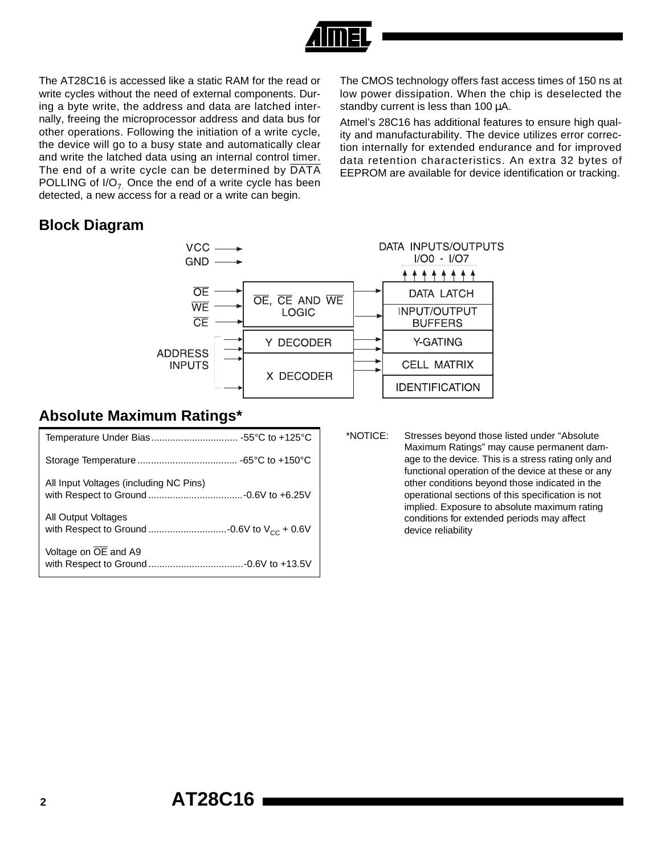

The AT28C16 is accessed like a static RAM for the read or write cycles without the need of external components. During a byte write, the address and data are latched internally, freeing the microprocessor address and data bus for other operations. Following the initiation of a write cycle, the device will go to a busy state and automatically clear and write the latched data using an internal control timer. The end of a write cycle can be determined by DATA POLLING of  $I/O<sub>7</sub>$  Once the end of a write cycle has been detected, a new access for a read or a write can begin.

The CMOS technology offers fast access times of 150 ns at low power dissipation. When the chip is deselected the standby current is less than 100 µA.

Atmel's 28C16 has additional features to ensure high quality and manufacturability. The device utilizes error correction internally for extended endurance and for improved data retention characteristics. An extra 32 bytes of EEPROM are available for device identification or tracking.

## **Block Diagram**



#### **Absolute Maximum Ratings\***

| All Input Voltages (including NC Pins) |
|----------------------------------------|
| All Output Voltages                    |
| Voltage on OE and A9                   |

\*NOTICE: Stresses bevond those listed under "Absolute" Maximum Ratings" may cause permanent damage to the device. This is a stress rating only and functional operation of the device at these or any other conditions beyond those indicated in the operational sections of this specification is not implied. Exposure to absolute maximum rating conditions for extended periods may affect device reliability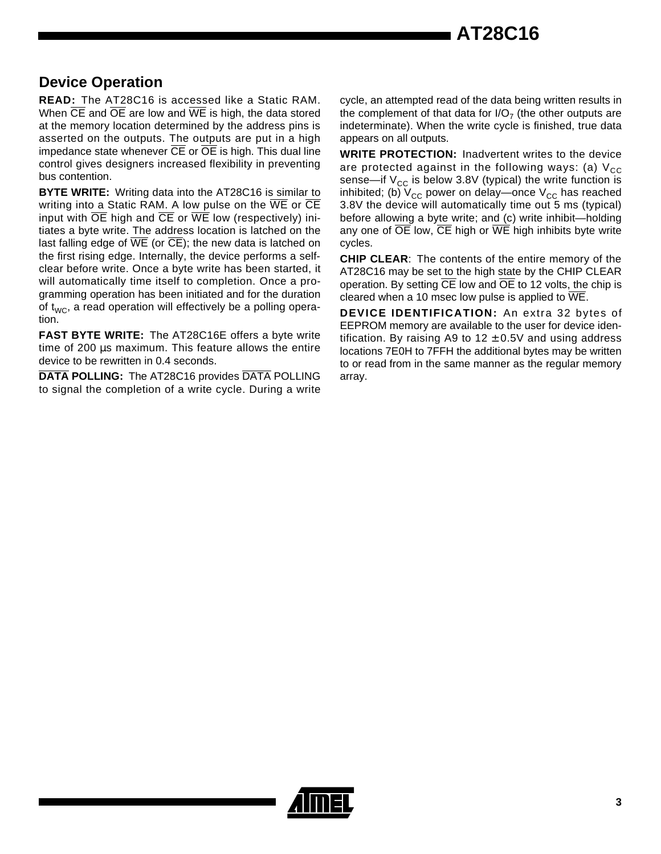**AT28C16**

#### **Device Operation**

**READ:** The AT28C16 is accessed like a Static RAM. When  $\overline{CE}$  and  $\overline{OE}$  are low and  $\overline{WE}$  is high, the data stored at the memory location determined by the address pins is asserted on the outputs. The outputs are put in a high impedance state whenever  $\overline{CE}$  or  $\overline{OE}$  is high. This dual line control gives designers increased flexibility in preventing bus contention.

**BYTE WRITE:** Writing data into the AT28C16 is similar to writing into a Static RAM. A low pulse on the WE or CE input with  $\overline{OE}$  high and  $\overline{CE}$  or  $\overline{WE}$  low (respectively) initiates a byte write. The address location is latched on the last falling edge of  $\overline{WE}$  (or  $\overline{CE}$ ); the new data is latched on the first rising edge. Internally, the device performs a selfclear before write. Once a byte write has been started, it will automatically time itself to completion. Once a programming operation has been initiated and for the duration of  $t_{WC}$ , a read operation will effectively be a polling operation.

**FAST BYTE WRITE:** The AT28C16E offers a byte write time of 200 µs maximum. This feature allows the entire device to be rewritten in 0.4 seconds.

**DATA POLLING:** The AT28C16 provides DATA POLLING to signal the completion of a write cycle. During a write cycle, an attempted read of the data being written results in the complement of that data for  $I/O<sub>7</sub>$  (the other outputs are indeterminate). When the write cycle is finished, true data appears on all outputs.

**WRITE PROTECTION:** Inadvertent writes to the device are protected against in the following ways: (a)  $V_{CC}$ sense—if  $V_{CC}$  is below 3.8V (typical) the write function is inhibited; (b)  $V_{CC}$  power on delay—once  $V_{CC}$  has reached 3.8V the device will automatically time out 5 ms (typical) before allowing a byte write; and (c) write inhibit—holding any one of  $\overline{OE}$  low,  $\overline{CE}$  high or  $\overline{WE}$  high inhibits byte write cycles.

**CHIP CLEAR**: The contents of the entire memory of the AT28C16 may be set to the high state by the CHIP CLEAR operation. By setting  $\overline{CE}$  low and  $\overline{OE}$  to 12 volts, the chip is cleared when a 10 msec low pulse is applied to  $\overline{\text{WE}}$ .

**DEVICE IDENTIFICATION:** An extra 32 bytes of EEPROM memory are available to the user for device identification. By raising A9 to  $12 \pm 0.5$ V and using address locations 7E0H to 7FFH the additional bytes may be written to or read from in the same manner as the regular memory array.

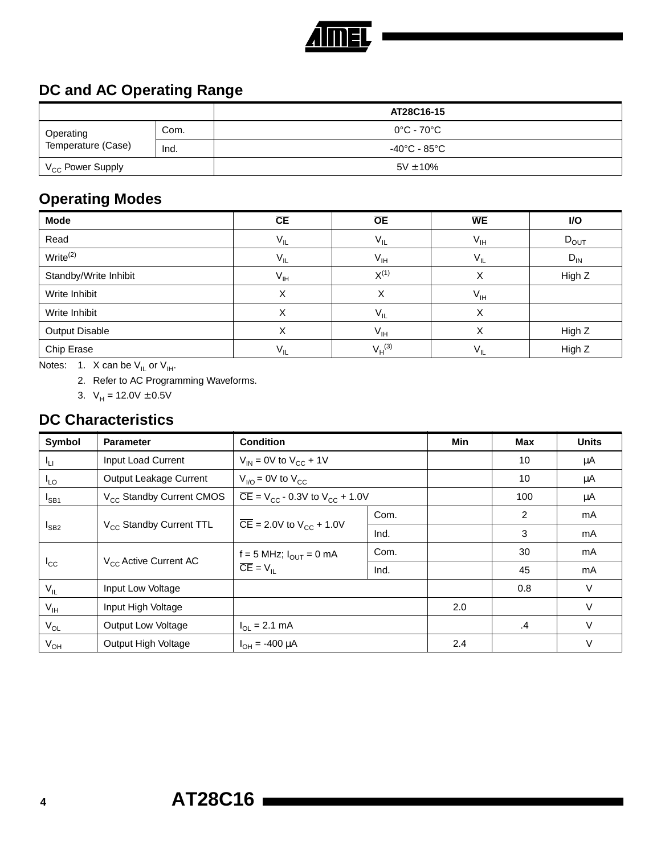

# **DC and AC Operating Range**

|                                 |      | AT28C16-15                      |
|---------------------------------|------|---------------------------------|
|                                 | Com. | $0^{\circ}$ C - 70 $^{\circ}$ C |
| Operating<br>Temperature (Case) | Ind. | -40°C - 85°C                    |
| V <sub>CC</sub> Power Supply    |      | $5V \pm 10\%$                   |

# **Operating Modes**

| <b>Mode</b>           | CE              | $\overline{OE}$ | <b>WE</b> | I/O       |
|-----------------------|-----------------|-----------------|-----------|-----------|
| Read                  | $V_{IL}$        | $V_{IL}$        | $V_{IH}$  | $D_{OUT}$ |
| $Write^{(2)}$         | $V_{IL}$        | $V_{IH}$        | $V_{IL}$  | $D_{IN}$  |
| Standby/Write Inhibit | V <sub>IH</sub> | $X^{(1)}$       | Х         | High Z    |
| Write Inhibit         | X               | X               | $V_{IH}$  |           |
| Write Inhibit         | X               | $V_{IL}$        | X         |           |
| Output Disable        | X               | $V_{\sf IH}$    | X         | High Z    |
| Chip Erase            | $V_{IL}$        | $V_H^{(3)}$     | $V_{IL}$  | High Z    |

Notes: 1. X can be  $V_{IL}$  or  $V_{IH}$ .

2. Refer to AC Programming Waveforms.

3.  $V_H = 12.0V \pm 0.5V$ 

# **DC Characteristics**

| Symbol          | <b>Parameter</b>                     | <b>Condition</b>                                                   |      | <b>Min</b> | <b>Max</b>     | <b>Units</b> |
|-----------------|--------------------------------------|--------------------------------------------------------------------|------|------------|----------------|--------------|
| Чu              | Input Load Current                   | $V_{IN}$ = 0V to $V_{CC}$ + 1V                                     |      |            | 10             | μA           |
| $I_{LO}$        | Output Leakage Current               | $V_{VQ} = 0V$ to $V_{CC}$                                          |      |            | 10             | μA           |
| $I_{SB1}$       | V <sub>CC</sub> Standby Current CMOS | $\overline{CE}$ = V <sub>CC</sub> - 0.3V to V <sub>CC</sub> + 1.0V |      |            | 100            | μA           |
|                 |                                      |                                                                    | Com. |            | $\overline{2}$ | mA           |
| $I_{SB2}$       | V <sub>CC</sub> Standby Current TTL  | $\overline{CE}$ = 2.0V to V <sub>CC</sub> + 1.0V                   | Ind. |            | 3              | mA           |
|                 |                                      | f = 5 MHz; $I_{\text{OUT}} = 0 \text{ mA}$                         | Com. |            | 30             | mA           |
| $I_{\rm CC}$    | V <sub>CC</sub> Active Current AC    | $\overline{CE} = V_{\parallel}$                                    | Ind. |            | 45             | mA           |
| $V_{IL}$        | Input Low Voltage                    |                                                                    |      |            | 0.8            | V            |
| $V_{\text{IH}}$ | Input High Voltage                   |                                                                    |      | 2.0        |                | V            |
| $V_{OL}$        | <b>Output Low Voltage</b>            | $I_{\text{OI}} = 2.1 \text{ mA}$                                   |      |            | $\mathcal{A}$  | $\vee$       |
| $V_{OH}$        | Output High Voltage                  | $I_{OH} = -400 \mu A$                                              |      | 2.4        |                | V            |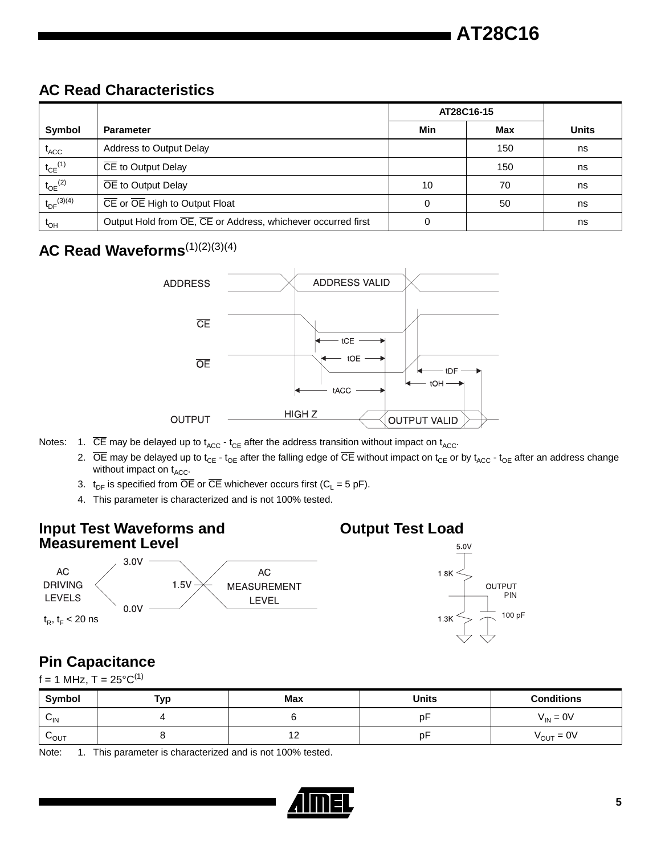# **AC Read Characteristics**

|                             |                                                              | AT28C16-15 |     |              |
|-----------------------------|--------------------------------------------------------------|------------|-----|--------------|
| Symbol                      | <b>Parameter</b>                                             | Min        | Max | <b>Units</b> |
| $t_{\scriptsize\text{ACC}}$ | <b>Address to Output Delay</b>                               |            | 150 | ns           |
| $t_{CE}$ <sup>(1)</sup>     | CE to Output Delay                                           |            | 150 | ns           |
| $t_{OE}$ <sup>(2)</sup>     | OE to Output Delay                                           | 10         | 70  | ns           |
| $t_{DF}^{(3)(4)}$           | CE or OE High to Output Float                                | 0          | 50  | ns           |
| $\mathfrak{r}_{\text{OH}}$  | Output Hold from OE, CE or Address, whichever occurred first |            |     | ns           |

# AC Read Waveforms<sup>(1)(2)(3)(4)</sup>



Notes: 1.  $\overline{CE}$  may be delayed up to  $t_{ACC}$  -  $t_{CE}$  after the address transition without impact on  $t_{ACC}$ .

- 2.  $\overline{OE}$  may be delayed up to t<sub>CE</sub> t<sub>OE</sub> after the falling edge of  $\overline{CE}$  without impact on t<sub>CE</sub> or by t<sub>ACC</sub> t<sub>OE</sub> after an address change without impact on  $t_{ACC}$ .
- 3.  $t_{DF}$  is specified from  $\overline{OE}$  or  $\overline{CE}$  whichever occurs first (C<sub>L</sub> = 5 pF).
- 4. This parameter is characterized and is not 100% tested.

#### **Input Test Waveforms and Measurement Level**



## **Output Test Load**



# **Pin Capacitance**

 $f = 1$  MHz, T =  $25^{\circ}C^{(1)}$ 

| Symbol                          | Тур | <b>Max</b> | <b>Units</b> | <b>Conditions</b>     |
|---------------------------------|-----|------------|--------------|-----------------------|
| ⌒<br>$\mathsf{v}_{\mathsf{IN}}$ |     |            | p۲           | ւ = 0V<br>√ INI       |
| ⌒<br>$V_{\text{OUT}}$           |     | $\sim$     | D٣           | $V_{\text{OUT}} = 0V$ |

Note: 1. This parameter is characterized and is not 100% tested.

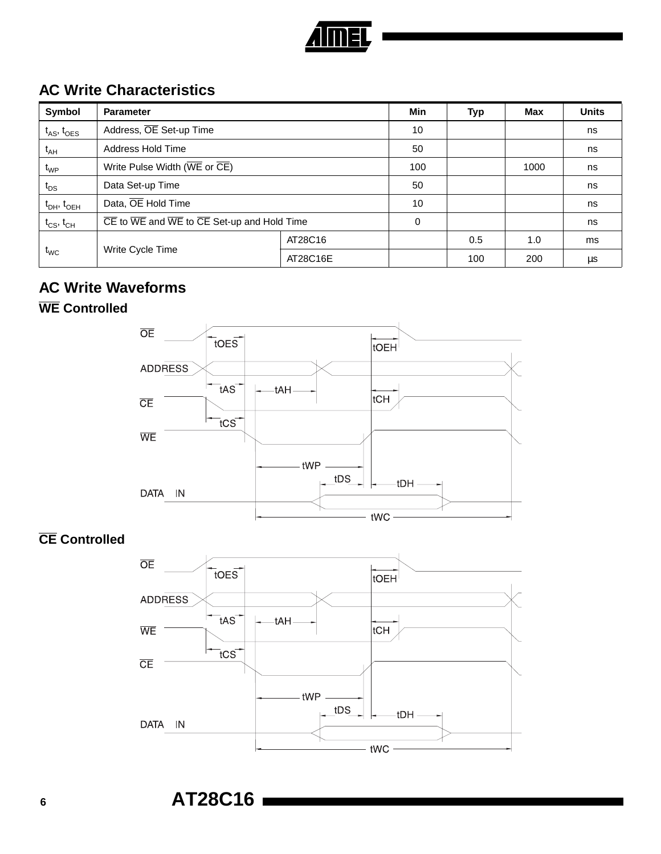

# **AC Write Characteristics**

| Symbol               | <b>Parameter</b>                                                                               | Min      | <b>Typ</b> | <b>Max</b> | <b>Units</b> |    |
|----------------------|------------------------------------------------------------------------------------------------|----------|------------|------------|--------------|----|
| $t_{AS}$ , $t_{OES}$ | Address, OE Set-up Time                                                                        |          | 10         |            |              | ns |
| $t_{AH}$             | Address Hold Time                                                                              |          | 50         |            |              | ns |
| $t_{WP}$             | Write Pulse Width (WE or CE)                                                                   |          | 100        |            | 1000         | ns |
| $t_{DS}$             | Data Set-up Time                                                                               |          | 50         |            |              | ns |
| $t_{DH}$ , $t_{OEH}$ | Data, OE Hold Time                                                                             | 10       |            |            | ns           |    |
| $t_{CS}$ , $t_{CH}$  | $\overline{CE}$ to $\overline{WE}$ and $\overline{WE}$ to $\overline{CE}$ Set-up and Hold Time |          | 0          |            |              | ns |
|                      | AT28C16                                                                                        |          |            | 0.5        | 1.0          | ms |
| $t_{WC}$             | Write Cycle Time                                                                               | AT28C16E |            | 100        | 200          | μs |

## **AC Write Waveforms**

## **WE Controlled**



## **CE Controlled**



**<sup>6</sup> AT28C16**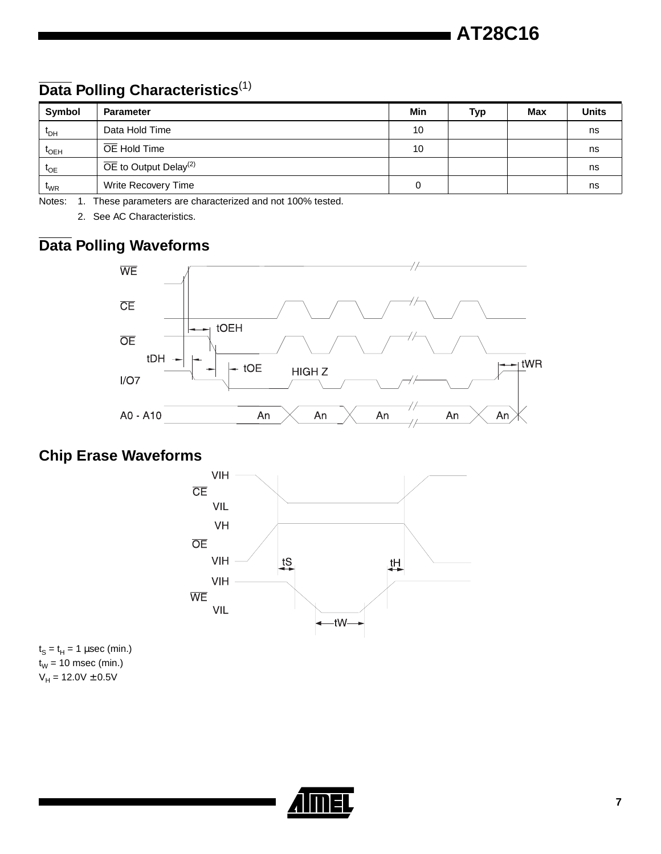# **Data Polling Characteristics**(1)

| Symbol                     | <b>Parameter</b>                               | Min | <b>Typ</b> | <b>Max</b> | <b>Units</b> |
|----------------------------|------------------------------------------------|-----|------------|------------|--------------|
| <sup>I</sup> DH            | Data Hold Time                                 | 10  |            |            | ns           |
| $I_{OEH}$                  | OE Hold Time                                   | 10  |            |            | ns           |
| $I_{OE}$                   | $\overline{OE}$ to Output Delay <sup>(2)</sup> |     |            |            | ns           |
| $\mathsf{t}_{\mathsf{WR}}$ | Write Recovery Time                            | 0   |            |            | ns           |

Notes: 1. These parameters are characterized and not 100% tested.

2. See AC Characteristics.

# **Data Polling Waveforms**



# **Chip Erase Waveforms**



 $t_S = t_H = 1$  µsec (min.)  $t_W = 10$  msec (min.)  $V_H = 12.0V \pm 0.5V$ 

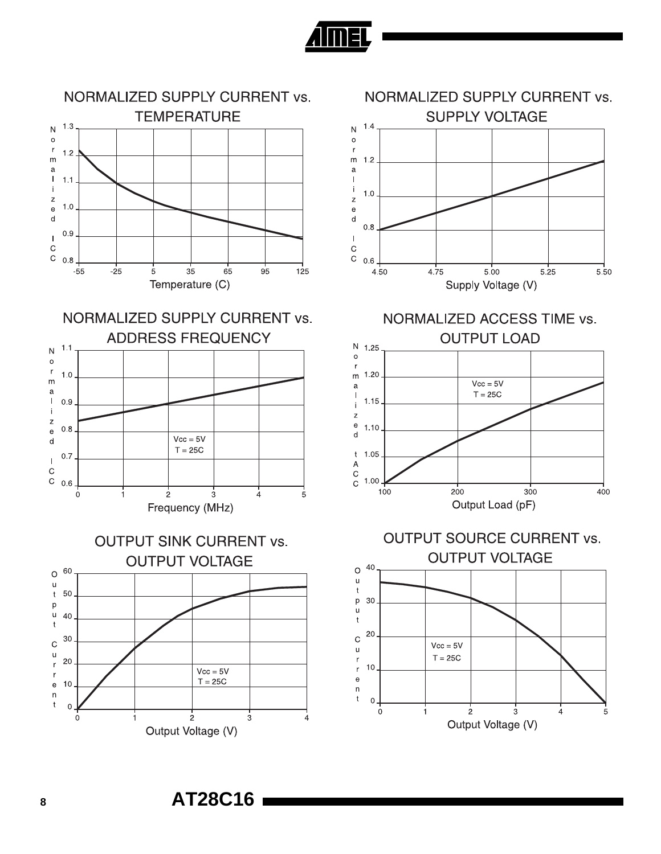



**AT28C16**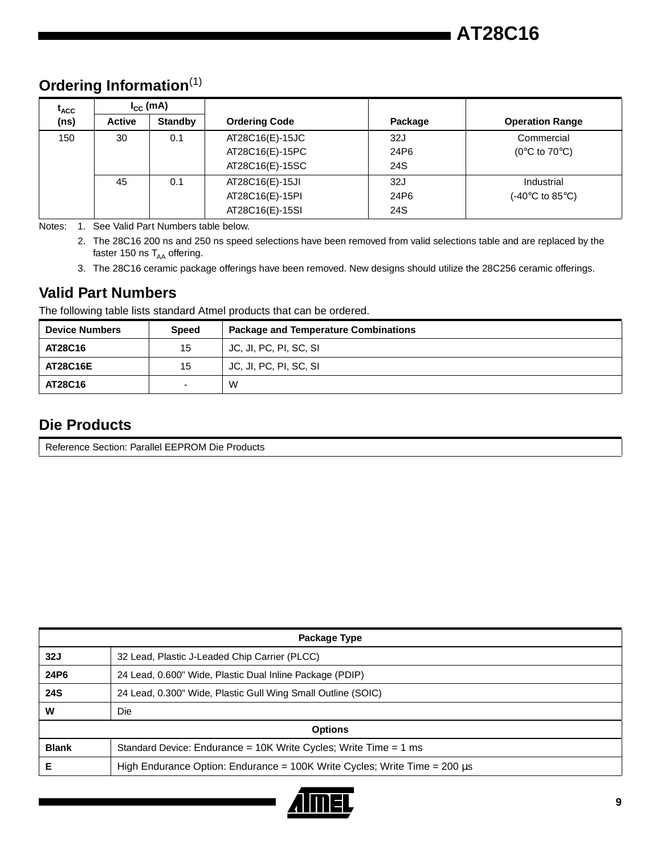

| $t_{\rm ACC}$ | $I_{\text{CC}}$ (mA) |                |                      |         |                                     |
|---------------|----------------------|----------------|----------------------|---------|-------------------------------------|
| (ns)          | <b>Active</b>        | <b>Standby</b> | <b>Ordering Code</b> | Package | <b>Operation Range</b>              |
| 150           | 30                   | 0.1            | AT28C16(E)-15JC      | 32J     | Commercial                          |
|               |                      |                | AT28C16(E)-15PC      | 24P6    | ( $0^{\circ}$ C to $70^{\circ}$ C)  |
|               |                      |                | AT28C16(E)-15SC      | 24S     |                                     |
|               | 45                   | 0.1            | AT28C16(E)-15JI      | 32J     | Industrial                          |
|               |                      |                | AT28C16(E)-15PI      | 24P6    | (-40 $\degree$ C to 85 $\degree$ C) |
|               |                      |                | AT28C16(E)-15SI      | 24S     |                                     |

# **Ordering Information**(1)

Notes: 1. See Valid Part Numbers table below.

2. The 28C16 200 ns and 250 ns speed selections have been removed from valid selections table and are replaced by the faster 150 ns  $T_{AA}$  offering.

3. The 28C16 ceramic package offerings have been removed. New designs should utilize the 28C256 ceramic offerings.

#### **Valid Part Numbers**

The following table lists standard Atmel products that can be ordered.

| <b>Device Numbers</b> | <b>Speed</b> | <b>Package and Temperature Combinations</b> |
|-----------------------|--------------|---------------------------------------------|
| AT28C16               | 15           | JC, JI, PC, PI, SC, SI                      |
| <b>AT28C16E</b>       | 15           | JC, JI, PC, PI, SC, SI                      |
| AT28C16               |              | W                                           |

## **Die Products**

Reference Section: Parallel EEPROM Die Products

| Package Type   |                                                                                  |  |
|----------------|----------------------------------------------------------------------------------|--|
| 32J            | 32 Lead, Plastic J-Leaded Chip Carrier (PLCC)                                    |  |
| 24P6           | 24 Lead, 0.600" Wide, Plastic Dual Inline Package (PDIP)                         |  |
| <b>24S</b>     | 24 Lead, 0.300" Wide, Plastic Gull Wing Small Outline (SOIC)                     |  |
| W              | Die                                                                              |  |
| <b>Options</b> |                                                                                  |  |
| <b>Blank</b>   | Standard Device: Endurance = 10K Write Cycles; Write Time = 1 ms                 |  |
| Е              | High Endurance Option: Endurance = $100K$ Write Cycles; Write Time = $200 \mu s$ |  |
|                |                                                                                  |  |

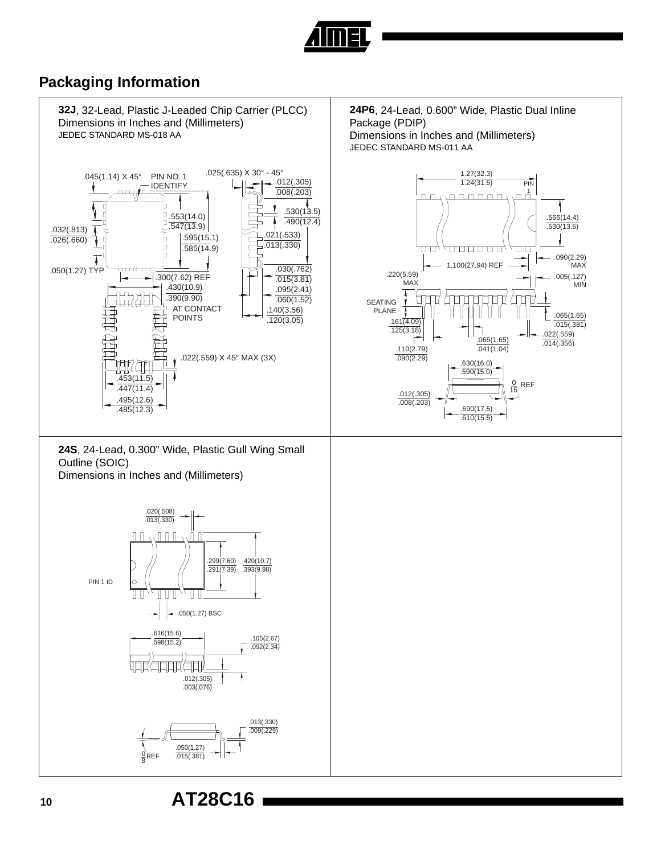

## **Packaging Information**



# **<sup>10</sup> AT28C16**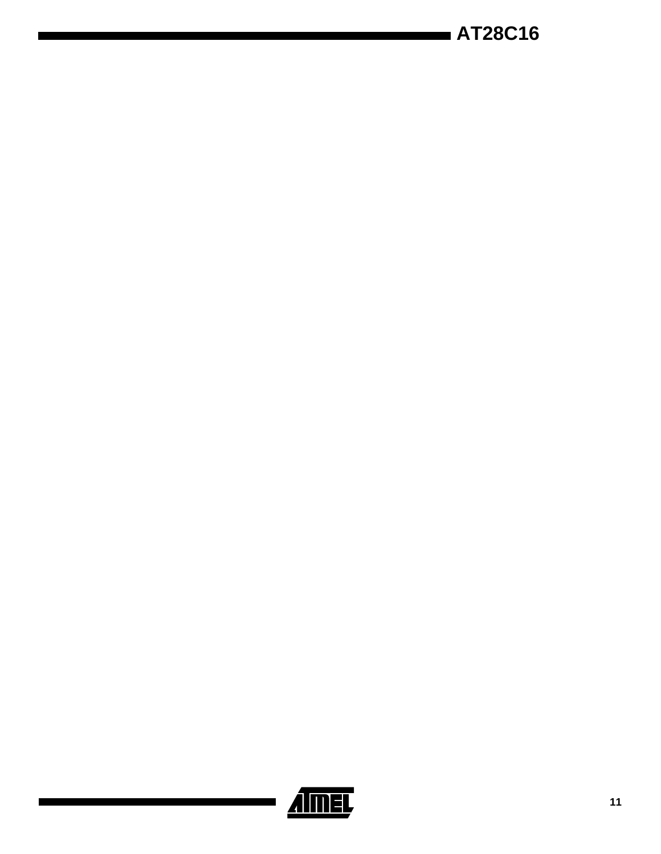# **AT28C16**